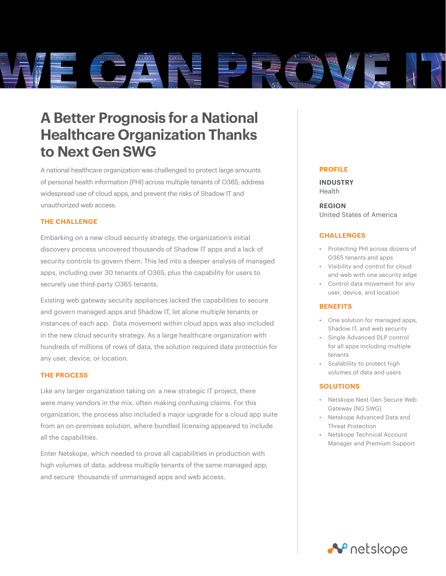

# **A Better Prognosis for a National Healthcare Organization Thanks to Next Gen SWG**

A national healthcare organization was challenged to protect large amounts of personal health information (PHI) across multiple tenants of O365, address widespread use of cloud apps, and prevent the risks of Shadow IT and unauthorized web access.

# **THE CHALLENGE**

Embarking on a new cloud security strategy, the organization's initial discovery process uncovered thousands of Shadow IT apps and a lack of security controls to govern them. This led into a deeper analysis of managed apps, including over 30 tenants of O365, plus the capability for users to securely use third-party O365 tenants.

Existing web gateway security appliances lacked the capabilities to secure and govern managed apps and Shadow IT, let alone multiple tenants or instances of each app. Data movement within cloud apps was also included in the new cloud security strategy. As a large healthcare organization with hundreds of millions of rows of data, the solution required data protection for any user, device, or location.

### **THE PROCESS**

Like any larger organization taking on a new strategic IT project, there were many vendors in the mix, often making confusing claims. For this organization, the process also included a major upgrade for a cloud app suite from an on-premises solution, where bundled licensing appeared to include all the capabilities.

Enter Netskope, which needed to prove all capabilities in production with high volumes of data, address multiple tenants of the same managed app, and secure thousands of unmanaged apps and web access.

#### **PROFILE**

**INDUSTRY** Health

**REGION** United States of America

### **CHALLENGES**

- Protecting PHI across dozens of O365 tenants and apps
- Visibility and control for cloud and web with one security edge
- Control data movement for any user, device, and location

### **BENEFITS**

- One solution for managed apps, Shadow IT, and web security
- Single Advanced DLP control for all apps including multiple tenants
- Scalability to protect high volumes of data and users

### **SOLUTIONS**

- Netskope Next Gen Secure Web Gateway (NG SWG)
- Netskope Advanced Data and Threat Protection
- Netskope Technical Account Manager and Premium Support